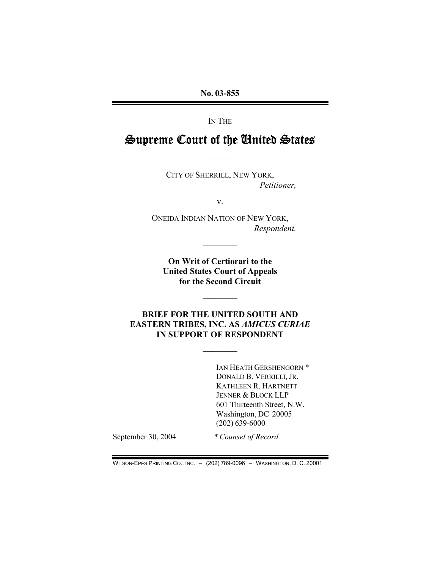No. 03-855

IN THE

# Supreme Court of the United States

————

CITY OF SHERRILL, NEW YORK, Petitioner,

v.

ONEIDA INDIAN NATION OF NEW YORK, Respondent.

On Writ of Certiorari to the United States Court of Appeals for the Second Circuit

————

## BRIEF FOR THE UNITED SOUTH AND EASTERN TRIBES, INC. AS AMICUS CURIAE IN SUPPORT OF RESPONDENT

————

————

IAN HEATH GERSHENGORN \* DONALD B. VERRILLI, JR. KATHLEEN R. HARTNETT JENNER & BLOCK LLP 601 Thirteenth Street, N.W. Washington, DC 20005 (202) 639-6000

September 30, 2004 \* Counsel of Record

WILSON-EPES PRINTING CO., INC. – (202) 789-0096 – WASHINGTON, D. C. 20001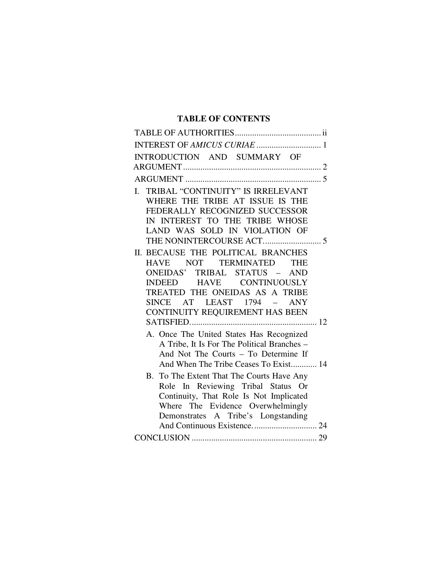## **TABLE OF CONTENTS**

| INTEREST OF AMICUS CURIAE  1                                                                                                                                                                                                                                                                                                                                                       |
|------------------------------------------------------------------------------------------------------------------------------------------------------------------------------------------------------------------------------------------------------------------------------------------------------------------------------------------------------------------------------------|
| INTRODUCTION AND SUMMARY OF                                                                                                                                                                                                                                                                                                                                                        |
|                                                                                                                                                                                                                                                                                                                                                                                    |
|                                                                                                                                                                                                                                                                                                                                                                                    |
| TRIBAL "CONTINUITY" IS IRRELEVANT<br>I.<br>WHERE THE TRIBE AT ISSUE IS THE<br>FEDERALLY RECOGNIZED SUCCESSOR<br>IN INTEREST TO THE TRIBE WHOSE<br>LAND WAS SOLD IN VIOLATION OF                                                                                                                                                                                                    |
| II. BECAUSE THE POLITICAL BRANCHES<br>HAVE NOT TERMINATED<br><b>THE</b><br>ONEIDAS' TRIBAL STATUS - AND<br>INDEED HAVE CONTINUOUSLY<br>TREATED THE ONEIDAS AS A TRIBE<br>SINCE AT LEAST 1794 –<br><b>ANY</b><br>CONTINUITY REQUIREMENT HAS BEEN                                                                                                                                    |
| A. Once The United States Has Recognized<br>A Tribe, It Is For The Political Branches -<br>And Not The Courts - To Determine If<br>And When The Tribe Ceases To Exist 14<br>B. To The Extent That The Courts Have Any<br>Role In Reviewing Tribal Status Or<br>Continuity, That Role Is Not Implicated<br>Where The Evidence Overwhelmingly<br>Demonstrates A Tribe's Longstanding |
|                                                                                                                                                                                                                                                                                                                                                                                    |
|                                                                                                                                                                                                                                                                                                                                                                                    |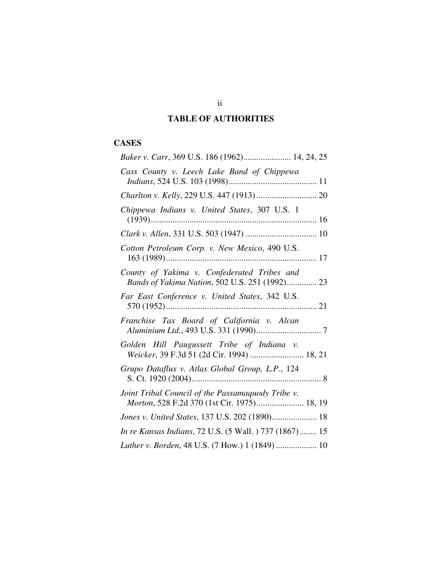## **TABLE OF AUTHORITIES**

## **CASES**

| Baker v. Carr, 369 U.S. 186 (1962) 14, 24, 25                                                    |
|--------------------------------------------------------------------------------------------------|
| Cass County v. Leech Lake Band of Chippewa                                                       |
|                                                                                                  |
| Chippewa Indians v. United States, 307 U.S. 1                                                    |
|                                                                                                  |
| Cotton Petroleum Corp. v. New Mexico, 490 U.S.                                                   |
| County of Yakima v. Confederated Tribes and<br>Bands of Yakima Nation, 502 U.S. 251 (1992) 23    |
| Far East Conference v. United States, 342 U.S.                                                   |
| Franchise Tax Board of California v. Alcan                                                       |
| Golden Hill Paugussett Tribe of Indiana v.<br>Weicker, 39 F.3d 51 (2d Cir. 1994)  18, 21         |
| Grupo Dataflux v. Atlas Global Group, L.P., 124                                                  |
| Joint Tribal Council of the Passamaquody Tribe v.<br>Morton, 528 F.2d 370 (1st Cir. 1975) 18, 19 |
| Jones v. United States, 137 U.S. 202 (1890) 18                                                   |
| In re Kansas Indians, 72 U.S. (5 Wall.) 737 (1867) 15                                            |
| Luther v. Borden, 48 U.S. (7 How.) 1 (1849)  10                                                  |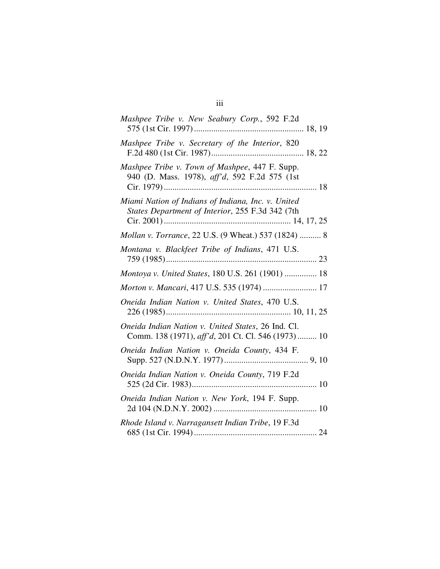| Mashpee Tribe v. New Seabury Corp., 592 F.2d                                                             |
|----------------------------------------------------------------------------------------------------------|
| Mashpee Tribe v. Secretary of the Interior, 820                                                          |
| Mashpee Tribe v. Town of Mashpee, 447 F. Supp.<br>940 (D. Mass. 1978), aff'd, 592 F.2d 575 (1st          |
| Miami Nation of Indians of Indiana, Inc. v. United<br>States Department of Interior, 255 F.3d 342 (7th   |
| Mollan v. Torrance, 22 U.S. (9 Wheat.) 537 (1824)  8                                                     |
| Montana v. Blackfeet Tribe of Indians, 471 U.S.                                                          |
| Montoya v. United States, 180 U.S. 261 (1901)  18                                                        |
| Morton v. Mancari, 417 U.S. 535 (1974)  17                                                               |
| Oneida Indian Nation v. United States, 470 U.S.                                                          |
| Oneida Indian Nation v. United States, 26 Ind. Cl.<br>Comm. 138 (1971), aff'd, 201 Ct. Cl. 546 (1973) 10 |
| Oneida Indian Nation v. Oneida County, 434 F.                                                            |
| Oneida Indian Nation v. Oneida County, 719 F.2d                                                          |
| Oneida Indian Nation v. New York, 194 F. Supp.                                                           |
| Rhode Island v. Narragansett Indian Tribe, 19 F.3d                                                       |

## iii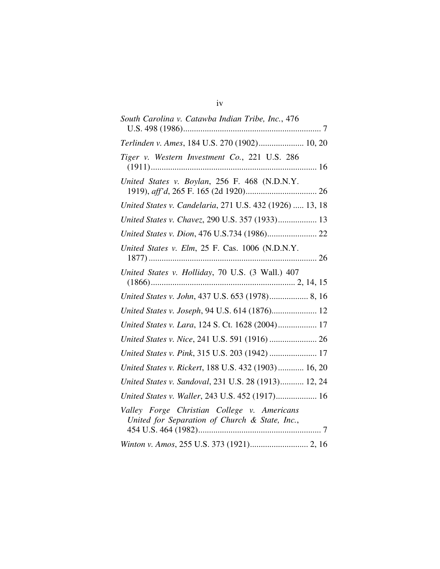| South Carolina v. Catawba Indian Tribe, Inc., 476                                             |
|-----------------------------------------------------------------------------------------------|
| Terlinden v. Ames, 184 U.S. 270 (1902) 10, 20                                                 |
| Tiger v. Western Investment Co., 221 U.S. 286                                                 |
| United States v. Boylan, 256 F. 468 (N.D.N.Y.                                                 |
| United States v. Candelaria, 271 U.S. 432 (1926)  13, 18                                      |
| United States v. Chavez, 290 U.S. 357 (1933) 13                                               |
|                                                                                               |
| United States v. Elm, 25 F. Cas. 1006 (N.D.N.Y.                                               |
| United States v. Holliday, 70 U.S. (3 Wall.) 407                                              |
| United States v. John, 437 U.S. 653 (1978) 8, 16                                              |
| United States v. Joseph, 94 U.S. 614 (1876) 12                                                |
| United States v. Lara, 124 S. Ct. 1628 (2004) 17                                              |
|                                                                                               |
| United States v. Pink, 315 U.S. 203 (1942)  17                                                |
| United States v. Rickert, 188 U.S. 432 (1903) 16, 20                                          |
| United States v. Sandoval, 231 U.S. 28 (1913) 12, 24                                          |
| United States v. Waller, 243 U.S. 452 (1917) 16                                               |
| Valley Forge Christian College v. Americans<br>United for Separation of Church & State, Inc., |
|                                                                                               |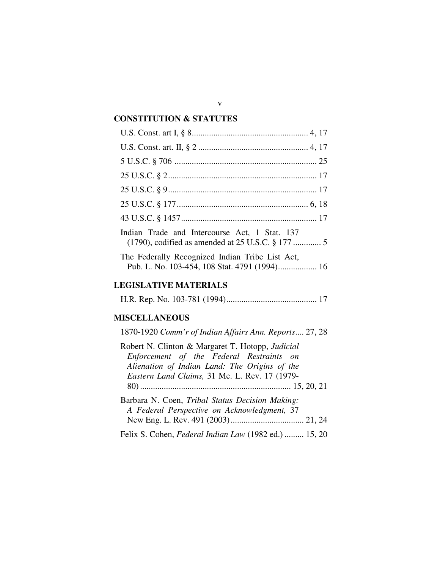### **CONSTITUTION & STATUTES**

| Indian Trade and Intercourse Act, 1 Stat. 137   |
|-------------------------------------------------|
| The Federally Recognized Indian Tribe List Act, |

## **LEGISLATIVE MATERIALS**

H.R. Rep. No. 103-781 (1994).......................................... 17

## **MISCELLANEOUS**

| 1870-1920 Comm'r of Indian Affairs Ann. Reports 27, 28                                                                                                                                         |
|------------------------------------------------------------------------------------------------------------------------------------------------------------------------------------------------|
| Robert N. Clinton & Margaret T. Hotopp, Judicial<br>Enforcement of the Federal Restraints on<br>Alienation of Indian Land: The Origins of the<br>Eastern Land Claims, 31 Me. L. Rev. 17 (1979- |
|                                                                                                                                                                                                |
| Barbara N. Coen, Tribal Status Decision Making:<br>A Federal Perspective on Acknowledgment, 37                                                                                                 |
|                                                                                                                                                                                                |
| Felix S. Cohen, Federal Indian Law (1982 ed.)  15, 20                                                                                                                                          |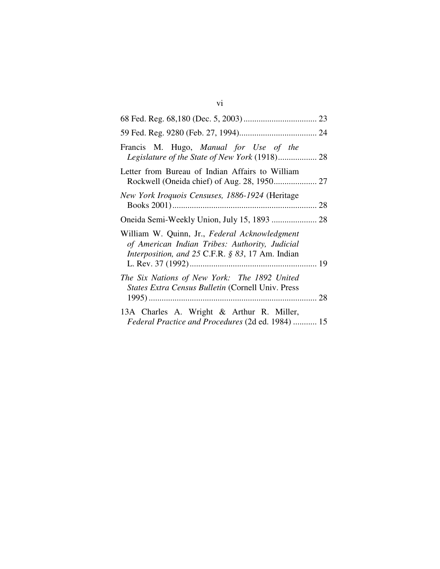| Francis M. Hugo, Manual for Use of the<br>Legislature of the State of New York (1918) 28                                                            |
|-----------------------------------------------------------------------------------------------------------------------------------------------------|
| Letter from Bureau of Indian Affairs to William                                                                                                     |
| New York Iroquois Censuses, 1886-1924 (Heritage                                                                                                     |
|                                                                                                                                                     |
| William W. Quinn, Jr., Federal Acknowledgment<br>of American Indian Tribes: Authority, Judicial<br>Interposition, and 25 C.F.R. § 83, 17 Am. Indian |
| The Six Nations of New York: The 1892 United<br>States Extra Census Bulletin (Cornell Univ. Press                                                   |
| 13A Charles A. Wright & Arthur R. Miller,<br>Federal Practice and Procedures (2d ed. 1984)  15                                                      |

## vi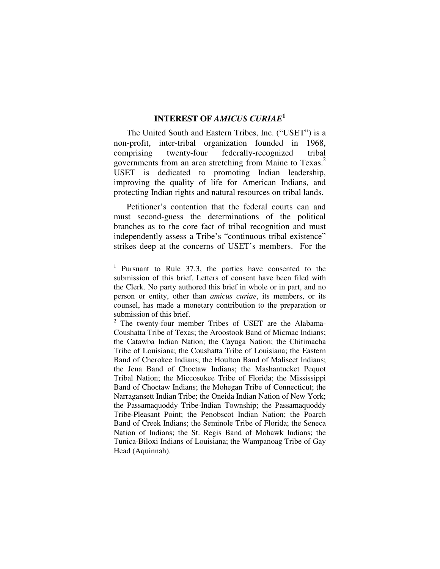## **INTEREST OF** *AMICUS CURIAE* **1**

The United South and Eastern Tribes, Inc. ("USET") is a non-profit, inter-tribal organization founded in 1968, comprising twenty-four federally-recognized tribal governments from an area stretching from Maine to Texas. 2 USET is dedicated to promoting Indian leadership, improving the quality of life for American Indians, and protecting Indian rights and natural resources on tribal lands.

Petitioner's contention that the federal courts can and must second-guess the determinations of the political branches as to the core fact of tribal recognition and must independently assess a Tribe's "continuous tribal existence" strikes deep at the concerns of USET's members. For the

<sup>&</sup>lt;sup>1</sup> Pursuant to Rule 37.3, the parties have consented to the submission of this brief. Letters of consent have been filed with the Clerk. No party authored this brief in whole or in part, and no person or entity, other than *amicus curiae*, its members, or its counsel, has made a monetary contribution to the preparation or submission of this brief.

<sup>&</sup>lt;sup>2</sup> The twenty-four member Tribes of USET are the Alabama-Coushatta Tribe of Texas; the Aroostook Band of Micmac Indians; the Catawba Indian Nation; the Cayuga Nation; the Chitimacha Tribe of Louisiana; the Coushatta Tribe of Louisiana; the Eastern Band of Cherokee Indians; the Houlton Band of Maliseet Indians; the Jena Band of Choctaw Indians; the Mashantucket Pequot Tribal Nation; the Miccosukee Tribe of Florida; the Mississippi Band of Choctaw Indians; the Mohegan Tribe of Connecticut; the Narragansett Indian Tribe; the Oneida Indian Nation of New York; the Passamaquoddy Tribe-Indian Township; the Passamaquoddy Tribe-Pleasant Point; the Penobscot Indian Nation; the Poarch Band of Creek Indians; the Seminole Tribe of Florida; the Seneca Nation of Indians; the St. Regis Band of Mohawk Indians; the Tunica-Biloxi Indians of Louisiana; the Wampanoag Tribe of Gay Head (Aquinnah).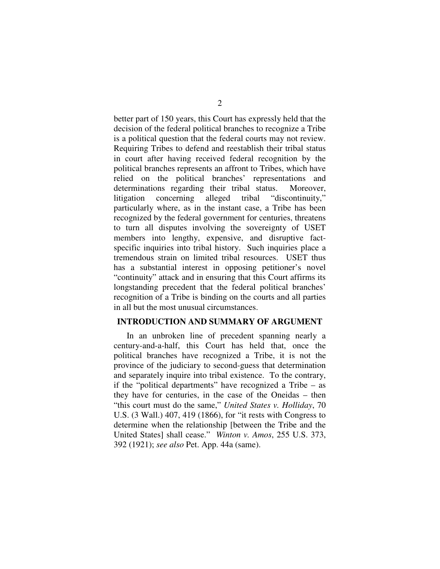better part of 150 years, this Court has expressly held that the decision of the federal political branches to recognize a Tribe is a political question that the federal courts may not review. Requiring Tribes to defend and reestablish their tribal status in court after having received federal recognition by the political branches represents an affront to Tribes, which have relied on the political branches' representations and determinations regarding their tribal status. Moreover, litigation concerning alleged tribal "discontinuity," particularly where, as in the instant case, a Tribe has been recognized by the federal government for centuries, threatens to turn all disputes involving the sovereignty of USET members into lengthy, expensive, and disruptive factspecific inquiries into tribal history. Such inquiries place a tremendous strain on limited tribal resources. USET thus has a substantial interest in opposing petitioner's novel "continuity" attack and in ensuring that this Court affirms its longstanding precedent that the federal political branches' recognition of a Tribe is binding on the courts and all parties in all but the most unusual circumstances.

#### **INTRODUCTION AND SUMMARY OF ARGUMENT**

In an unbroken line of precedent spanning nearly a century-and-a-half, this Court has held that, once the political branches have recognized a Tribe, it is not the province of the judiciary to second-guess that determination and separately inquire into tribal existence. To the contrary, if the "political departments" have recognized a Tribe – as they have for centuries, in the case of the Oneidas – then "this court must do the same," *United States v. Holliday*, 70 U.S. (3 Wall.) 407, 419 (1866), for "it rests with Congress to determine when the relationship [between the Tribe and the United States] shall cease." *Winton v. Amos*, 255 U.S. 373, 392 (1921); *see also* Pet. App. 44a (same).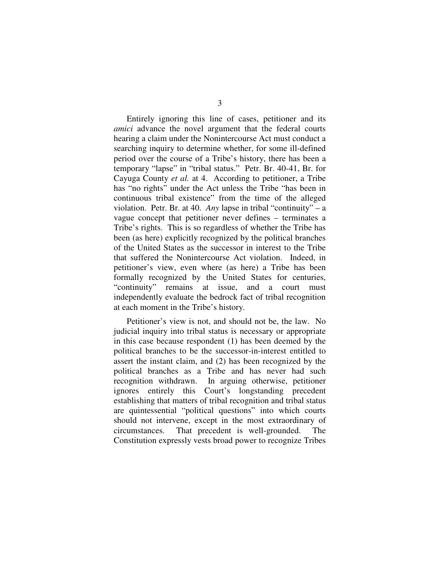Entirely ignoring this line of cases, petitioner and its *amici* advance the novel argument that the federal courts hearing a claim under the Nonintercourse Act must conduct a searching inquiry to determine whether, for some ill-defined period over the course of a Tribe's history, there has been a temporary "lapse" in "tribal status." Petr. Br. 40-41, Br. for Cayuga County *et al.* at 4. According to petitioner, a Tribe has "no rights" under the Act unless the Tribe "has been in continuous tribal existence" from the time of the alleged violation. Petr. Br. at 40. *Any* lapse in tribal "continuity" – a vague concept that petitioner never defines – terminates a Tribe's rights. This is so regardless of whether the Tribe has been (as here) explicitly recognized by the political branches of the United States as the successor in interest to the Tribe that suffered the Nonintercourse Act violation. Indeed, in petitioner's view, even where (as here) a Tribe has been formally recognized by the United States for centuries, "continuity" remains at issue, and a court must independently evaluate the bedrock fact of tribal recognition at each moment in the Tribe's history.

Petitioner's view is not, and should not be, the law. No judicial inquiry into tribal status is necessary or appropriate in this case because respondent (1) has been deemed by the political branches to be the successor-in-interest entitled to assert the instant claim, and (2) has been recognized by the political branches as a Tribe and has never had such recognition withdrawn. In arguing otherwise, petitioner ignores entirely this Court's longstanding precedent establishing that matters of tribal recognition and tribal status are quintessential "political questions" into which courts should not intervene, except in the most extraordinary of circumstances. That precedent is well-grounded. The Constitution expressly vests broad power to recognize Tribes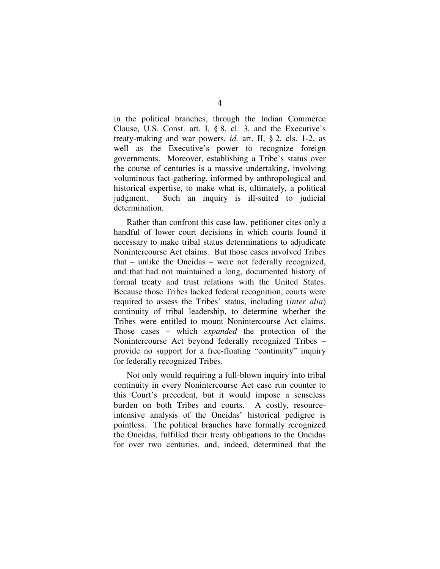in the political branches, through the Indian Commerce Clause, U.S. Const. art. I, § 8, cl. 3, and the Executive's treaty-making and war powers, *id.* art. II, § 2, cls. 1-2, as well as the Executive's power to recognize foreign governments. Moreover, establishing a Tribe's status over the course of centuries is a massive undertaking, involving voluminous fact-gathering, informed by anthropological and historical expertise, to make what is, ultimately, a political judgment. Such an inquiry is ill-suited to judicial determination.

Rather than confront this case law, petitioner cites only a handful of lower court decisions in which courts found it necessary to make tribal status determinations to adjudicate Nonintercourse Act claims. But those cases involved Tribes that – unlike the Oneidas – were not federally recognized, and that had not maintained a long, documented history of formal treaty and trust relations with the United States. Because those Tribes lacked federal recognition, courts were required to assess the Tribes' status, including (*inter alia*) continuity of tribal leadership, to determine whether the Tribes were entitled to mount Nonintercourse Act claims. Those cases – which *expanded* the protection of the Nonintercourse Act beyond federally recognized Tribes – provide no support for a free-floating "continuity" inquiry for federally recognized Tribes.

Not only would requiring a full-blown inquiry into tribal continuity in every Nonintercourse Act case run counter to this Court's precedent, but it would impose a senseless burden on both Tribes and courts. A costly, resourceintensive analysis of the Oneidas' historical pedigree is pointless. The political branches have formally recognized the Oneidas, fulfilled their treaty obligations to the Oneidas for over two centuries, and, indeed, determined that the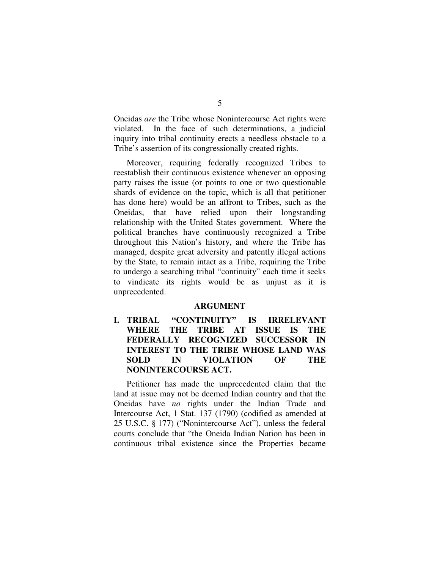Oneidas *are* the Tribe whose Nonintercourse Act rights were violated. In the face of such determinations, a judicial inquiry into tribal continuity erects a needless obstacle to a Tribe's assertion of its congressionally created rights.

Moreover, requiring federally recognized Tribes to reestablish their continuous existence whenever an opposing party raises the issue (or points to one or two questionable shards of evidence on the topic, which is all that petitioner has done here) would be an affront to Tribes, such as the Oneidas, that have relied upon their longstanding relationship with the United States government. Where the political branches have continuously recognized a Tribe throughout this Nation's history, and where the Tribe has managed, despite great adversity and patently illegal actions by the State, to remain intact as a Tribe, requiring the Tribe to undergo a searching tribal "continuity" each time it seeks to vindicate its rights would be as unjust as it is unprecedented.

#### **ARGUMENT**

**I. TRIBAL "CONTINUITY" IS IRRELEVANT WHERE THE TRIBE AT ISSUE IS THE FEDERALLY RECOGNIZED SUCCESSOR IN INTEREST TO THE TRIBE WHOSE LAND WAS SOLD IN VIOLATION OF THE NONINTERCOURSE ACT.**

Petitioner has made the unprecedented claim that the land at issue may not be deemed Indian country and that the Oneidas have *no* rights under the Indian Trade and Intercourse Act, 1 Stat. 137 (1790) (codified as amended at 25 U.S.C. § 177) ("Nonintercourse Act"), unless the federal courts conclude that "the Oneida Indian Nation has been in continuous tribal existence since the Properties became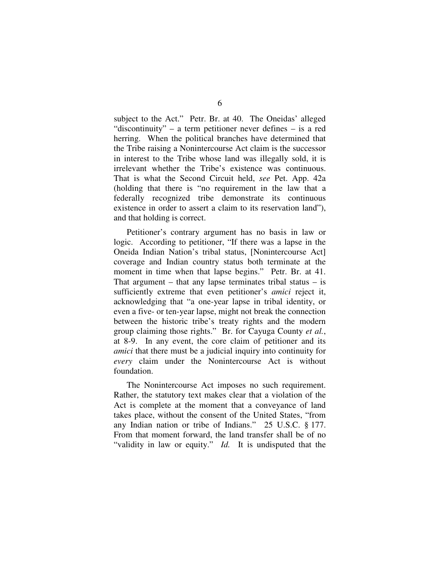subject to the Act." Petr. Br. at 40. The Oneidas' alleged "discontinuity" – a term petitioner never defines – is a red herring. When the political branches have determined that the Tribe raising a Nonintercourse Act claim is the successor in interest to the Tribe whose land was illegally sold, it is irrelevant whether the Tribe's existence was continuous. That is what the Second Circuit held, *see* Pet. App. 42a (holding that there is "no requirement in the law that a federally recognized tribe demonstrate its continuous existence in order to assert a claim to its reservation land"), and that holding is correct.

Petitioner's contrary argument has no basis in law or logic. According to petitioner, "If there was a lapse in the Oneida Indian Nation's tribal status, [Nonintercourse Act] coverage and Indian country status both terminate at the moment in time when that lapse begins." Petr. Br. at 41. That argument – that any lapse terminates tribal status – is sufficiently extreme that even petitioner's *amici* reject it, acknowledging that "a one-year lapse in tribal identity, or even a five- or ten-year lapse, might not break the connection between the historic tribe's treaty rights and the modern group claiming those rights." Br. for Cayuga County *et al.*, at 8-9. In any event, the core claim of petitioner and its *amici* that there must be a judicial inquiry into continuity for *every* claim under the Nonintercourse Act is without foundation.

The Nonintercourse Act imposes no such requirement. Rather, the statutory text makes clear that a violation of the Act is complete at the moment that a conveyance of land takes place, without the consent of the United States, "from any Indian nation or tribe of Indians." 25 U.S.C. § 177. From that moment forward, the land transfer shall be of no "validity in law or equity." *Id.* It is undisputed that the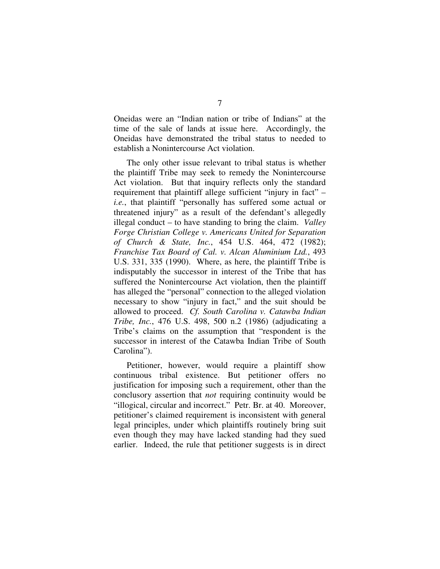Oneidas were an "Indian nation or tribe of Indians" at the time of the sale of lands at issue here. Accordingly, the Oneidas have demonstrated the tribal status to needed to establish a Nonintercourse Act violation.

The only other issue relevant to tribal status is whether the plaintiff Tribe may seek to remedy the Nonintercourse Act violation. But that inquiry reflects only the standard requirement that plaintiff allege sufficient "injury in fact" – *i.e.*, that plaintiff "personally has suffered some actual or threatened injury" as a result of the defendant's allegedly illegal conduct – to have standing to bring the claim. *Valley Forge Christian College v. Americans United for Separation of Church & State, Inc.*, 454 U.S. 464, 472 (1982); *Franchise Tax Board of Cal. v. Alcan Aluminium Ltd.*, 493 U.S. 331, 335 (1990). Where, as here, the plaintiff Tribe is indisputably the successor in interest of the Tribe that has suffered the Nonintercourse Act violation, then the plaintiff has alleged the "personal" connection to the alleged violation necessary to show "injury in fact," and the suit should be allowed to proceed. *Cf. South Carolina v. Catawba Indian Tribe, Inc.*, 476 U.S. 498, 500 n.2 (1986) (adjudicating a Tribe's claims on the assumption that "respondent is the successor in interest of the Catawba Indian Tribe of South Carolina").

Petitioner, however, would require a plaintiff show continuous tribal existence. But petitioner offers no justification for imposing such a requirement, other than the conclusory assertion that *not* requiring continuity would be "illogical, circular and incorrect." Petr. Br. at 40. Moreover, petitioner's claimed requirement is inconsistent with general legal principles, under which plaintiffs routinely bring suit even though they may have lacked standing had they sued earlier. Indeed, the rule that petitioner suggests is in direct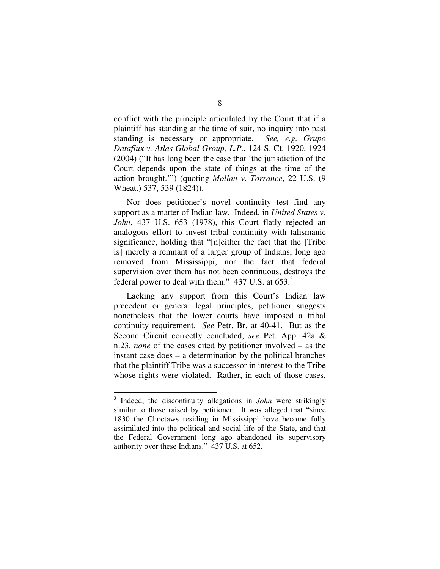conflict with the principle articulated by the Court that if a plaintiff has standing at the time of suit, no inquiry into past standing is necessary or appropriate. *See, e.g. Grupo Dataflux v. Atlas Global Group, L.P.*, 124 S. Ct. 1920, 1924 (2004) ("It has long been the case that 'the jurisdiction of the Court depends upon the state of things at the time of the action brought.'") (quoting *Mollan v. Torrance*, 22 U.S. (9 Wheat.) 537, 539 (1824)).

Nor does petitioner's novel continuity test find any support as a matter of Indian law. Indeed, in *United States v. John*, 437 U.S. 653 (1978), this Court flatly rejected an analogous effort to invest tribal continuity with talismanic significance, holding that "[n]either the fact that the [Tribe is] merely a remnant of a larger group of Indians, long ago removed from Mississippi, nor the fact that federal supervision over them has not been continuous, destroys the federal power to deal with them." 437 U.S. at 653.

Lacking any support from this Court's Indian law precedent or general legal principles, petitioner suggests nonetheless that the lower courts have imposed a tribal continuity requirement. *See* Petr. Br. at 40-41. But as the Second Circuit correctly concluded, *see* Pet. App. 42a & n.23, *none* of the cases cited by petitioner involved – as the instant case does – a determination by the political branches that the plaintiff Tribe was a successor in interest to the Tribe whose rights were violated. Rather, in each of those cases,

<sup>3</sup> Indeed, the discontinuity allegations in *John* were strikingly similar to those raised by petitioner. It was alleged that "since 1830 the Choctaws residing in Mississippi have become fully assimilated into the political and social life of the State, and that the Federal Government long ago abandoned its supervisory authority over these Indians." 437 U.S. at 652.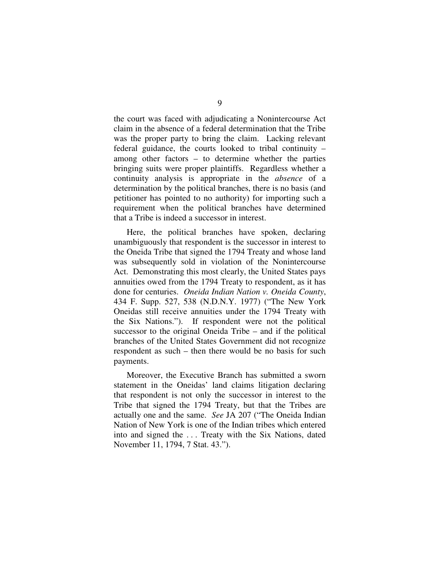the court was faced with adjudicating a Nonintercourse Act claim in the absence of a federal determination that the Tribe was the proper party to bring the claim. Lacking relevant federal guidance, the courts looked to tribal continuity – among other factors – to determine whether the parties bringing suits were proper plaintiffs. Regardless whether a continuity analysis is appropriate in the *absence* of a determination by the political branches, there is no basis (and petitioner has pointed to no authority) for importing such a requirement when the political branches have determined that a Tribe is indeed a successor in interest.

Here, the political branches have spoken, declaring unambiguously that respondent is the successor in interest to the Oneida Tribe that signed the 1794 Treaty and whose land was subsequently sold in violation of the Nonintercourse Act. Demonstrating this most clearly, the United States pays annuities owed from the 1794 Treaty to respondent, as it has done for centuries. *Oneida Indian Nation v. Oneida County*, 434 F. Supp. 527, 538 (N.D.N.Y. 1977) ("The New York Oneidas still receive annuities under the 1794 Treaty with the Six Nations."). If respondent were not the political successor to the original Oneida Tribe – and if the political branches of the United States Government did not recognize respondent as such – then there would be no basis for such payments.

Moreover, the Executive Branch has submitted a sworn statement in the Oneidas' land claims litigation declaring that respondent is not only the successor in interest to the Tribe that signed the 1794 Treaty, but that the Tribes are actually one and the same. *See* JA 207 ("The Oneida Indian Nation of New York is one of the Indian tribes which entered into and signed the . . . Treaty with the Six Nations, dated November 11, 1794, 7 Stat. 43.").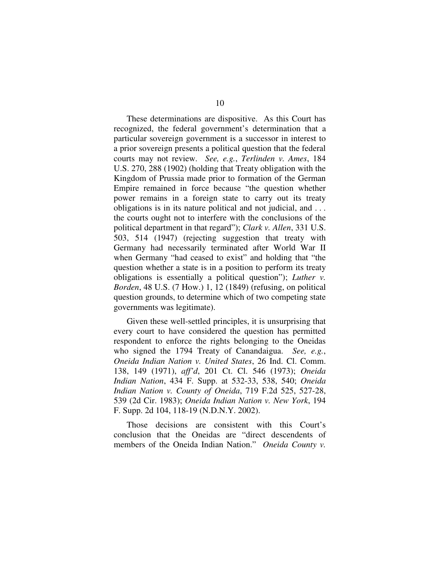These determinations are dispositive. As this Court has recognized, the federal government's determination that a particular sovereign government is a successor in interest to a prior sovereign presents a political question that the federal courts may not review. *See, e.g.*, *Terlinden v. Ames*, 184 U.S. 270, 288 (1902) (holding that Treaty obligation with the Kingdom of Prussia made prior to formation of the German Empire remained in force because "the question whether power remains in a foreign state to carry out its treaty obligations is in its nature political and not judicial, and . . . the courts ought not to interfere with the conclusions of the political department in that regard"); *Clark v. Allen*, 331 U.S. 503, 514 (1947) (rejecting suggestion that treaty with Germany had necessarily terminated after World War II when Germany "had ceased to exist" and holding that "the question whether a state is in a position to perform its treaty obligations is essentially a political question"); *Luther v. Borden*, 48 U.S. (7 How.) 1, 12 (1849) (refusing, on political question grounds, to determine which of two competing state governments was legitimate).

Given these well-settled principles, it is unsurprising that every court to have considered the question has permitted respondent to enforce the rights belonging to the Oneidas who signed the 1794 Treaty of Canandaigua. *See, e.g.*, *Oneida Indian Nation v. United States*, 26 Ind. Cl. Comm. 138, 149 (1971), *aff'd*, 201 Ct. Cl. 546 (1973); *Oneida Indian Nation*, 434 F. Supp. at 532-33, 538, 540; *Oneida Indian Nation v. County of Oneida*, 719 F.2d 525, 527-28, 539 (2d Cir. 1983); *Oneida Indian Nation v. New York*, 194 F. Supp. 2d 104, 118-19 (N.D.N.Y. 2002).

Those decisions are consistent with this Court's conclusion that the Oneidas are "direct descendents of members of the Oneida Indian Nation." *Oneida County v.*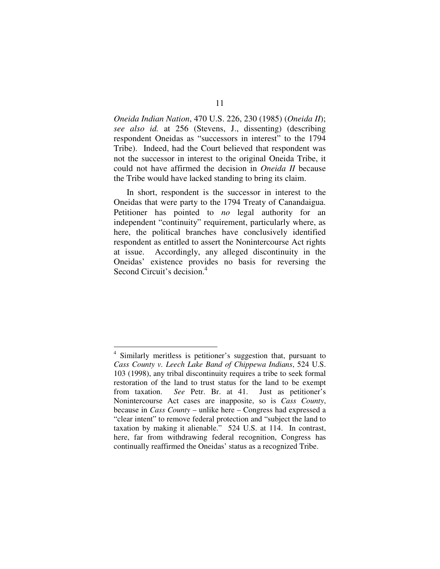*Oneida Indian Nation*, 470 U.S. 226, 230 (1985) (*Oneida II*); *see also id.* at 256 (Stevens, J., dissenting) (describing respondent Oneidas as "successors in interest" to the 1794 Tribe). Indeed, had the Court believed that respondent was not the successor in interest to the original Oneida Tribe, it could not have affirmed the decision in *Oneida II* because the Tribe would have lacked standing to bring its claim.

In short, respondent is the successor in interest to the Oneidas that were party to the 1794 Treaty of Canandaigua. Petitioner has pointed to *no* legal authority for an independent "continuity" requirement, particularly where, as here, the political branches have conclusively identified respondent as entitled to assert the Nonintercourse Act rights at issue. Accordingly, any alleged discontinuity in the Oneidas' existence provides no basis for reversing the Second Circuit's decision.<sup>4</sup>

<sup>4</sup> Similarly meritless is petitioner's suggestion that, pursuant to *Cass County v. Leech Lake Band of Chippewa Indians*, 524 U.S. 103 (1998), any tribal discontinuity requires a tribe to seek formal restoration of the land to trust status for the land to be exempt from taxation. *See* Petr. Br. at 41. Just as petitioner's Nonintercourse Act cases are inapposite, so is *Cass County*, because in *Cass County* – unlike here – Congress had expressed a "clear intent" to remove federal protection and "subject the land to taxation by making it alienable." 524 U.S. at 114. In contrast, here, far from withdrawing federal recognition, Congress has continually reaffirmed the Oneidas' status as a recognized Tribe.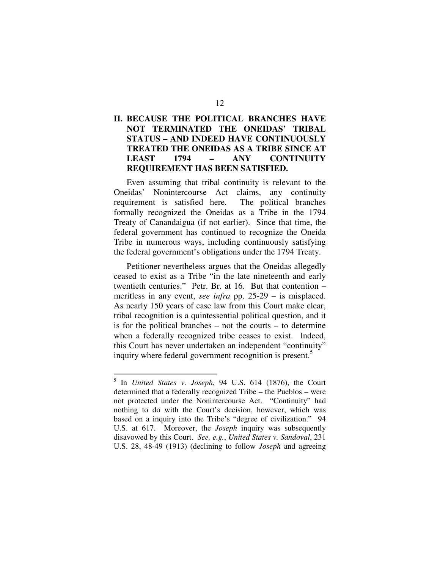## **II. BECAUSE THE POLITICAL BRANCHES HAVE NOT TERMINATED THE ONEIDAS' TRIBAL STATUS – AND INDEED HAVE CONTINUOUSLY TREATED THE ONEIDAS AS A TRIBE SINCE AT LEAST 1794 – ANY CONTINUITY REQUIREMENT HAS BEEN SATISFIED.**

Even assuming that tribal continuity is relevant to the Oneidas' Nonintercourse Act claims, any continuity requirement is satisfied here. The political branches formally recognized the Oneidas as a Tribe in the 1794 Treaty of Canandaigua (if not earlier). Since that time, the federal government has continued to recognize the Oneida Tribe in numerous ways, including continuously satisfying the federal government's obligations under the 1794 Treaty.

Petitioner nevertheless argues that the Oneidas allegedly ceased to exist as a Tribe "in the late nineteenth and early twentieth centuries." Petr. Br. at 16. But that contention – meritless in any event, *see infra* pp. 25-29 – is misplaced. As nearly 150 years of case law from this Court make clear, tribal recognition is a quintessential political question, and it is for the political branches – not the courts – to determine when a federally recognized tribe ceases to exist. Indeed, this Court has never undertaken an independent "continuity" inquiry where federal government recognition is present.<sup>5</sup>

<sup>5</sup> In *United States v. Joseph*, 94 U.S. 614 (1876), the Court determined that a federally recognized Tribe – the Pueblos – were not protected under the Nonintercourse Act. "Continuity" had nothing to do with the Court's decision, however, which was based on a inquiry into the Tribe's "degree of civilization." 94 U.S. at 617. Moreover, the *Joseph* inquiry was subsequently disavowed by this Court. *See, e.g.*, *United States v. Sandoval*, 231 U.S. 28, 48-49 (1913) (declining to follow *Joseph* and agreeing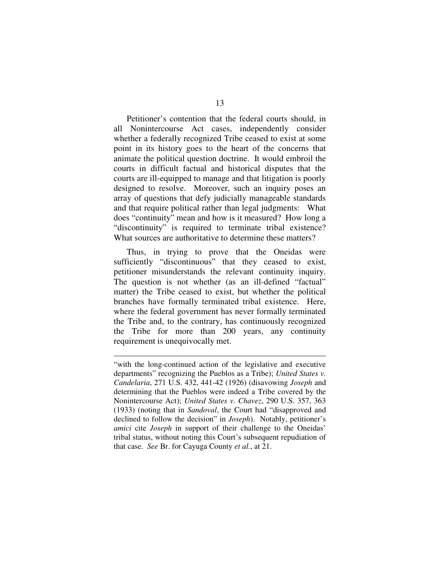Petitioner's contention that the federal courts should, in all Nonintercourse Act cases, independently consider whether a federally recognized Tribe ceased to exist at some point in its history goes to the heart of the concerns that animate the political question doctrine. It would embroil the courts in difficult factual and historical disputes that the courts are ill-equipped to manage and that litigation is poorly designed to resolve. Moreover, such an inquiry poses an array of questions that defy judicially manageable standards and that require political rather than legal judgments: What does "continuity" mean and how is it measured? How long a "discontinuity" is required to terminate tribal existence? What sources are authoritative to determine these matters?

Thus, in trying to prove that the Oneidas were sufficiently "discontinuous" that they ceased to exist, petitioner misunderstands the relevant continuity inquiry. The question is not whether (as an ill-defined "factual" matter) the Tribe ceased to exist, but whether the political branches have formally terminated tribal existence. Here, where the federal government has never formally terminated the Tribe and, to the contrary, has continuously recognized the Tribe for more than 200 years, any continuity requirement is unequivocally met.

<sup>&</sup>quot;with the long-continued action of the legislative and executive departments" recognizing the Pueblos as a Tribe); *United States v. Candelaria*, 271 U.S. 432, 441-42 (1926) (disavowing *Joseph* and determining that the Pueblos were indeed a Tribe covered by the Nonintercourse Act); *United States v. Chavez*, 290 U.S. 357, 363 (1933) (noting that in *Sandoval*, the Court had "disapproved and declined to follow the decision" in *Joseph*). Notably, petitioner's *amici* cite *Joseph* in support of their challenge to the Oneidas' tribal status, without noting this Court's subsequent repudiation of that case. *See* Br. for Cayuga County *et al.*, at 21.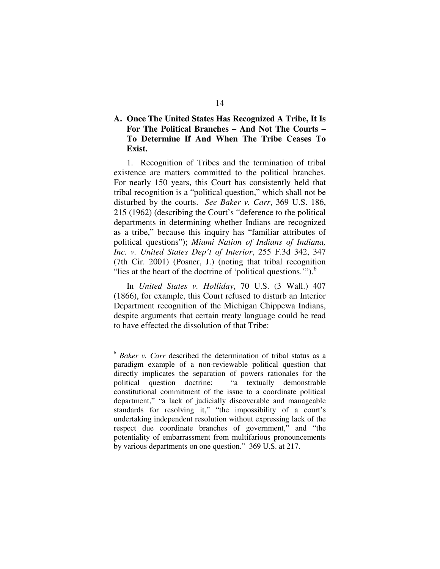### **A. Once The United States Has Recognized A Tribe, It Is For The Political Branches – And Not The Courts – To Determine If And When The Tribe Ceases To Exist.**

1. Recognition of Tribes and the termination of tribal existence are matters committed to the political branches. For nearly 150 years, this Court has consistently held that tribal recognition is a "political question," which shall not be disturbed by the courts. *See Baker v. Carr*, 369 U.S. 186, 215 (1962) (describing the Court's "deference to the political departments in determining whether Indians are recognized as a tribe," because this inquiry has "familiar attributes of political questions"); *Miami Nation of Indians of Indiana, Inc. v. United States Dep't of Interior*, 255 F.3d 342, 347 (7th Cir. 2001) (Posner, J.) (noting that tribal recognition "lies at the heart of the doctrine of 'political questions."").<sup>6</sup>

In *United States v. Holliday*, 70 U.S. (3 Wall.) 407 (1866), for example, this Court refused to disturb an Interior Department recognition of the Michigan Chippewa Indians, despite arguments that certain treaty language could be read to have effected the dissolution of that Tribe:

<sup>6</sup> *Baker v. Carr* described the determination of tribal status as a paradigm example of a non-reviewable political question that directly implicates the separation of powers rationales for the political question doctrine: "a textually demonstrable constitutional commitment of the issue to a coordinate political department," "a lack of judicially discoverable and manageable standards for resolving it," "the impossibility of a court's undertaking independent resolution without expressing lack of the respect due coordinate branches of government," and "the potentiality of embarrassment from multifarious pronouncements by various departments on one question." 369 U.S. at 217.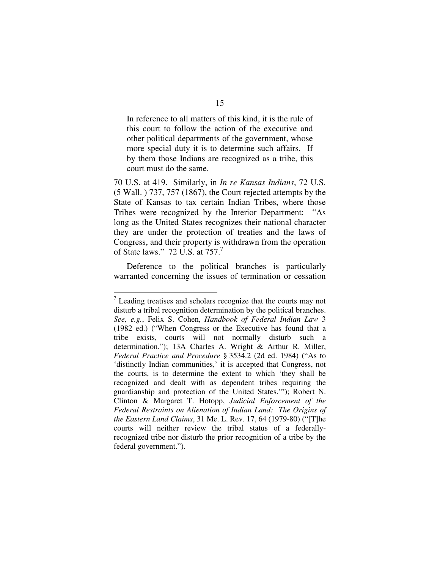In reference to all matters of this kind, it is the rule of this court to follow the action of the executive and other political departments of the government, whose more special duty it is to determine such affairs. If by them those Indians are recognized as a tribe, this court must do the same.

70 U.S. at 419. Similarly, in *In re Kansas Indians*, 72 U.S. (5 Wall. ) 737, 757 (1867), the Court rejected attempts by the State of Kansas to tax certain Indian Tribes, where those Tribes were recognized by the Interior Department: "As long as the United States recognizes their national character they are under the protection of treaties and the laws of Congress, and their property is withdrawn from the operation of State laws." 72 U.S. at 757.<sup>7</sup>

Deference to the political branches is particularly warranted concerning the issues of termination or cessation

 $\frac{7}{7}$  Leading treatises and scholars recognize that the courts may not disturb a tribal recognition determination by the political branches. *See, e.g.*, Felix S. Cohen, *Handbook of Federal Indian Law* 3 (1982 ed.) ("When Congress or the Executive has found that a tribe exists, courts will not normally disturb such a determination."); 13A Charles A. Wright & Arthur R. Miller, *Federal Practice and Procedure* § 3534.2 (2d ed. 1984) ("As to 'distinctly Indian communities,' it is accepted that Congress, not the courts, is to determine the extent to which 'they shall be recognized and dealt with as dependent tribes requiring the guardianship and protection of the United States.'"); Robert N. Clinton & Margaret T. Hotopp, *Judicial Enforcement of the Federal Restraints on Alienation of Indian Land: The Origins of the Eastern Land Claims*, 31 Me. L. Rev. 17, 64 (1979-80) ("[T]he courts will neither review the tribal status of a federallyrecognized tribe nor disturb the prior recognition of a tribe by the federal government.").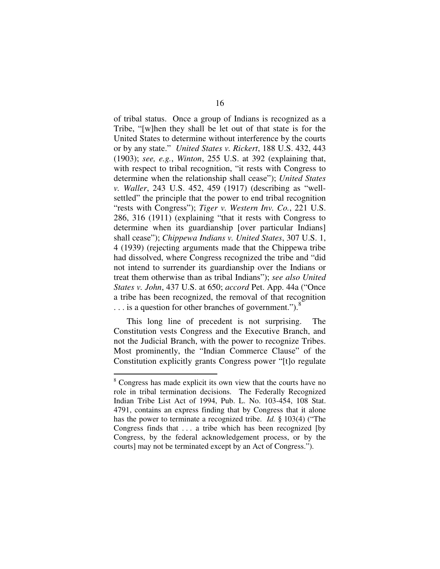of tribal status. Once a group of Indians is recognized as a Tribe, "[w]hen they shall be let out of that state is for the United States to determine without interference by the courts or by any state." *United States v. Rickert*, 188 U.S. 432, 443 (1903); *see, e.g.*, *Winton*, 255 U.S. at 392 (explaining that, with respect to tribal recognition, "it rests with Congress to determine when the relationship shall cease"); *United States v. Waller*, 243 U.S. 452, 459 (1917) (describing as "wellsettled" the principle that the power to end tribal recognition "rests with Congress"); *Tiger v. Western Inv. Co.*, 221 U.S. 286, 316 (1911) (explaining "that it rests with Congress to determine when its guardianship [over particular Indians] shall cease"); *Chippewa Indians v. United States*, 307 U.S. 1, 4 (1939) (rejecting arguments made that the Chippewa tribe had dissolved, where Congress recognized the tribe and "did not intend to surrender its guardianship over the Indians or treat them otherwise than as tribal Indians"); *see also United States v. John*, 437 U.S. at 650; *accord* Pet. App. 44a ("Once a tribe has been recognized, the removal of that recognition ... is a question for other branches of government.").<sup>8</sup>

This long line of precedent is not surprising. The Constitution vests Congress and the Executive Branch, and not the Judicial Branch, with the power to recognize Tribes. Most prominently, the "Indian Commerce Clause" of the Constitution explicitly grants Congress power "[t]o regulate

<sup>8</sup> Congress has made explicit its own view that the courts have no role in tribal termination decisions. The Federally Recognized Indian Tribe List Act of 1994, Pub. L. No. 103-454, 108 Stat. 4791, contains an express finding that by Congress that it alone has the power to terminate a recognized tribe. *Id.* § 103(4) ("The Congress finds that . . . a tribe which has been recognized [by Congress, by the federal acknowledgement process, or by the courts] may not be terminated except by an Act of Congress.").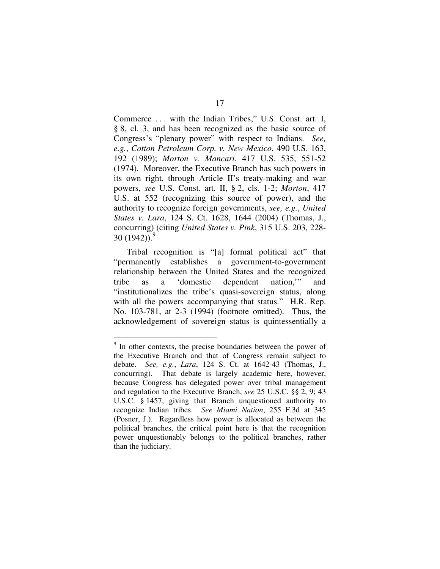Commerce . . . with the Indian Tribes," U.S. Const. art. I, § 8, cl. 3, and has been recognized as the basic source of Congress's "plenary power" with respect to Indians. *See, e.g.*, *Cotton Petroleum Corp. v. New Mexico*, 490 U.S. 163, 192 (1989); *Morton v. Mancari*, 417 U.S. 535, 551-52 (1974). Moreover, the Executive Branch has such powers in its own right, through Article II's treaty-making and war powers, *see* U.S. Const. art. II, § 2, cls. 1-2; *Morton*, 417 U.S. at 552 (recognizing this source of power), and the authority to recognize foreign governments, *see, e.g.*, *United States v. Lara*, 124 S. Ct. 1628, 1644 (2004) (Thomas, J., concurring) (citing *United States v. Pink*, 315 U.S. 203, 228- 30 (1942)). 9

Tribal recognition is "[a] formal political act" that "permanently establishes a government-to-government relationship between the United States and the recognized tribe as a 'domestic dependent nation,'" and "institutionalizes the tribe's quasi-sovereign status, along with all the powers accompanying that status." H.R. Rep. No. 103-781, at 2-3 (1994) (footnote omitted). Thus, the acknowledgement of sovereign status is quintessentially a

<sup>&</sup>lt;sup>9</sup> In other contexts, the precise boundaries between the power of the Executive Branch and that of Congress remain subject to debate. *See, e.g.*, *Lara*, 124 S. Ct. at 1642-43 (Thomas, J., concurring). That debate is largely academic here, however, because Congress has delegated power over tribal management and regulation to the Executive Branch, *see* 25 U.S.C. §§ 2, 9; 43 U.S.C. § 1457, giving that Branch unquestioned authority to recognize Indian tribes. *See Miami Nation*, 255 F.3d at 345 (Posner, J.). Regardless how power is allocated as between the political branches, the critical point here is that the recognition power unquestionably belongs to the political branches, rather than the judiciary.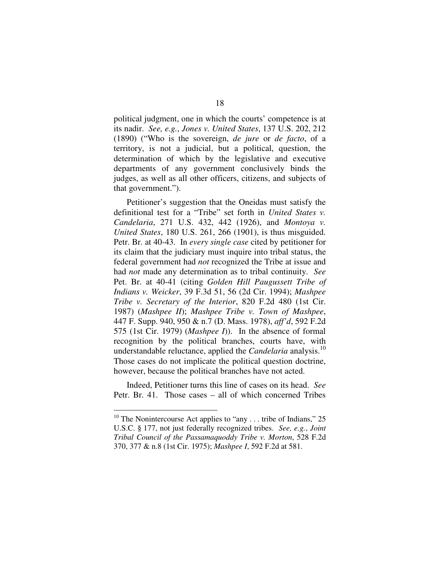political judgment, one in which the courts' competence is at its nadir. *See, e.g.*, *Jones v. United States*, 137 U.S. 202, 212 (1890) ("Who is the sovereign, *de jure* or *de facto*, of a territory, is not a judicial, but a political, question, the determination of which by the legislative and executive departments of any government conclusively binds the judges, as well as all other officers, citizens, and subjects of that government.").

Petitioner's suggestion that the Oneidas must satisfy the definitional test for a "Tribe" set forth in *United States v. Candelaria*, 271 U.S. 432, 442 (1926), and *Montoya v. United States*, 180 U.S. 261, 266 (1901), is thus misguided. Petr. Br. at 40-43. In *every single case* cited by petitioner for its claim that the judiciary must inquire into tribal status, the federal government had *not* recognized the Tribe at issue and had *not* made any determination as to tribal continuity. *See* Pet. Br. at 40-41 (citing *Golden Hill Paugussett Tribe of Indians v. Weicker*, 39 F.3d 51, 56 (2d Cir. 1994); *Mashpee Tribe v. Secretary of the Interior*, 820 F.2d 480 (1st Cir. 1987) (*Mashpee II*); *Mashpee Tribe v. Town of Mashpee*, 447 F. Supp. 940, 950 & n.7 (D. Mass. 1978), *aff'd*, 592 F.2d 575 (1st Cir. 1979) (*Mashpee I*)). In the absence of formal recognition by the political branches, courts have, with understandable reluctance, applied the *Candelaria* analysis. 10 Those cases do not implicate the political question doctrine, however, because the political branches have not acted.

Indeed, Petitioner turns this line of cases on its head. *See* Petr. Br. 41. Those cases – all of which concerned Tribes

 $10$  The Nonintercourse Act applies to "any ... tribe of Indians," 25 U.S.C. § 177, not just federally recognized tribes. *See, e.g.*, *Joint Tribal Council of the Passamaquoddy Tribe v. Morton*, 528 F.2d 370, 377 & n.8 (1st Cir. 1975); *Mashpee I*, 592 F.2d at 581.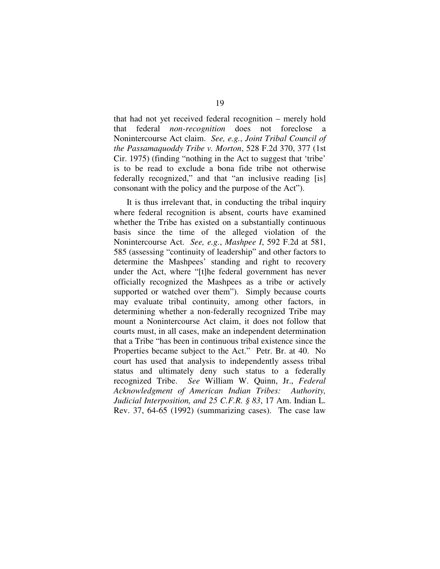that had not yet received federal recognition – merely hold that federal *non-recognition* does not foreclose Nonintercourse Act claim. *See, e.g.*, *Joint Tribal Council of the Passamaquoddy Tribe v. Morton*, 528 F.2d 370, 377 (1st Cir. 1975) (finding "nothing in the Act to suggest that 'tribe' is to be read to exclude a bona fide tribe not otherwise federally recognized," and that "an inclusive reading [is] consonant with the policy and the purpose of the Act").

It is thus irrelevant that, in conducting the tribal inquiry where federal recognition is absent, courts have examined whether the Tribe has existed on a substantially continuous basis since the time of the alleged violation of the Nonintercourse Act. *See, e.g.*, *Mashpee I*, 592 F.2d at 581, 585 (assessing "continuity of leadership" and other factors to determine the Mashpees' standing and right to recovery under the Act, where "[t]he federal government has never officially recognized the Mashpees as a tribe or actively supported or watched over them"). Simply because courts may evaluate tribal continuity, among other factors, in determining whether a non-federally recognized Tribe may mount a Nonintercourse Act claim, it does not follow that courts must, in all cases, make an independent determination that a Tribe "has been in continuous tribal existence since the Properties became subject to the Act." Petr. Br. at 40. No court has used that analysis to independently assess tribal status and ultimately deny such status to a federally recognized Tribe. *See* William W. Quinn, Jr., *Federal Acknowledgment of American Indian Tribes: Authority, Judicial Interposition, and 25 C.F.R. § 83*, 17 Am. Indian L. Rev. 37, 64-65 (1992) (summarizing cases). The case law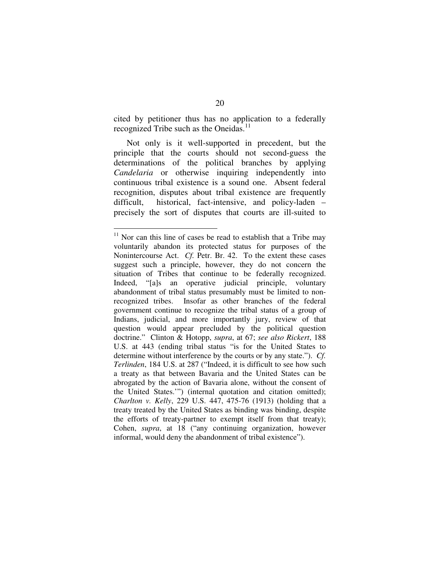cited by petitioner thus has no application to a federally recognized Tribe such as the Oneidas.<sup>11</sup>

Not only is it well-supported in precedent, but the principle that the courts should not second-guess the determinations of the political branches by applying *Candelaria* or otherwise inquiring independently into continuous tribal existence is a sound one. Absent federal recognition, disputes about tribal existence are frequently difficult, historical, fact-intensive, and policy-laden – precisely the sort of disputes that courts are ill-suited to

 $11$  Nor can this line of cases be read to establish that a Tribe may voluntarily abandon its protected status for purposes of the Nonintercourse Act. *Cf.* Petr. Br. 42. To the extent these cases suggest such a principle, however, they do not concern the situation of Tribes that continue to be federally recognized. Indeed, "[a]s an operative judicial principle, voluntary abandonment of tribal status presumably must be limited to nonrecognized tribes. Insofar as other branches of the federal government continue to recognize the tribal status of a group of Indians, judicial, and more importantly jury, review of that question would appear precluded by the political question doctrine." Clinton & Hotopp, *supra*, at 67; *see also Rickert*, 188 U.S. at 443 (ending tribal status "is for the United States to determine without interference by the courts or by any state."). *Cf. Terlinden*, 184 U.S. at 287 ("Indeed, it is difficult to see how such a treaty as that between Bavaria and the United States can be abrogated by the action of Bavaria alone, without the consent of the United States.'") (internal quotation and citation omitted); *Charlton v. Kelly*, 229 U.S. 447, 475-76 (1913) (holding that a treaty treated by the United States as binding was binding, despite the efforts of treaty-partner to exempt itself from that treaty); Cohen, *supra*, at 18 ("any continuing organization, however informal, would deny the abandonment of tribal existence").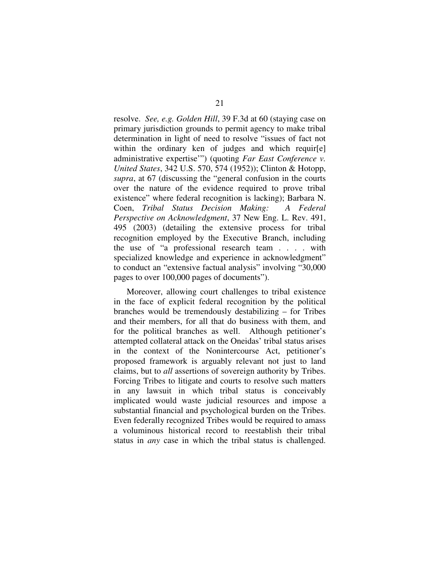resolve. *See, e.g. Golden Hill*, 39 F.3d at 60 (staying case on primary jurisdiction grounds to permit agency to make tribal determination in light of need to resolve "issues of fact not within the ordinary ken of judges and which requir[e] administrative expertise'") (quoting *Far East Conference v. United States*, 342 U.S. 570, 574 (1952)); Clinton & Hotopp, *supra*, at 67 (discussing the "general confusion in the courts over the nature of the evidence required to prove tribal existence" where federal recognition is lacking); Barbara N. Coen, *Tribal Status Decision Making: A Federal Perspective on Acknowledgment*, 37 New Eng. L. Rev. 491, 495 (2003) (detailing the extensive process for tribal recognition employed by the Executive Branch, including the use of "a professional research team . . . . with specialized knowledge and experience in acknowledgment" to conduct an "extensive factual analysis" involving "30,000 pages to over 100,000 pages of documents").

Moreover, allowing court challenges to tribal existence in the face of explicit federal recognition by the political branches would be tremendously destabilizing – for Tribes and their members, for all that do business with them, and for the political branches as well. Although petitioner's attempted collateral attack on the Oneidas' tribal status arises in the context of the Nonintercourse Act, petitioner's proposed framework is arguably relevant not just to land claims, but to *all* assertions of sovereign authority by Tribes. Forcing Tribes to litigate and courts to resolve such matters in any lawsuit in which tribal status is conceivably implicated would waste judicial resources and impose a substantial financial and psychological burden on the Tribes. Even federally recognized Tribes would be required to amass a voluminous historical record to reestablish their tribal status in *any* case in which the tribal status is challenged.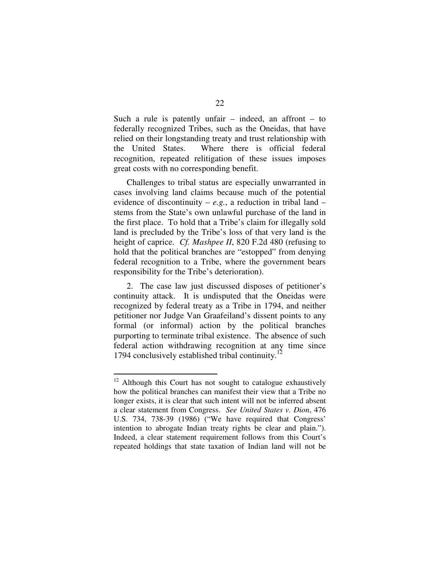Such a rule is patently unfair  $-$  indeed, an affront  $-$  to federally recognized Tribes, such as the Oneidas, that have relied on their longstanding treaty and trust relationship with the United States. Where there is official federal recognition, repeated relitigation of these issues imposes great costs with no corresponding benefit.

Challenges to tribal status are especially unwarranted in cases involving land claims because much of the potential evidence of discontinuity –  $e.g.,$  a reduction in tribal land – stems from the State's own unlawful purchase of the land in the first place. To hold that a Tribe's claim for illegally sold land is precluded by the Tribe's loss of that very land is the height of caprice. *Cf. Mashpee II*, 820 F.2d 480 (refusing to hold that the political branches are "estopped" from denying federal recognition to a Tribe, where the government bears responsibility for the Tribe's deterioration).

2. The case law just discussed disposes of petitioner's continuity attack. It is undisputed that the Oneidas were recognized by federal treaty as a Tribe in 1794, and neither petitioner nor Judge Van Graafeiland's dissent points to any formal (or informal) action by the political branches purporting to terminate tribal existence. The absence of such federal action withdrawing recognition at any time since 1794 conclusively established tribal continuity.<sup>12</sup>

 $12$  Although this Court has not sought to catalogue exhaustively how the political branches can manifest their view that a Tribe no longer exists, it is clear that such intent will not be inferred absent a clear statement from Congress. *See United States v. Dion*, 476 U.S. 734, 738-39 (1986) ("We have required that Congress' intention to abrogate Indian treaty rights be clear and plain."). Indeed, a clear statement requirement follows from this Court's repeated holdings that state taxation of Indian land will not be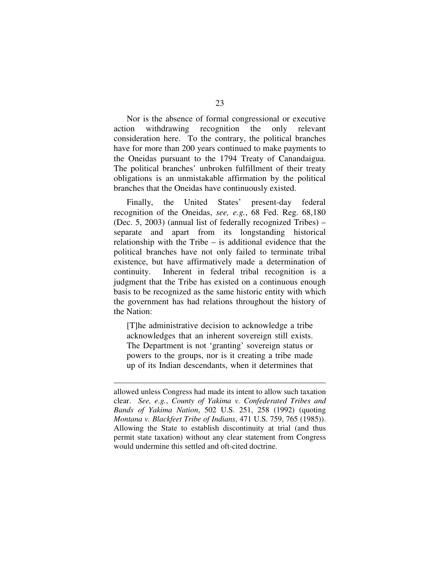Nor is the absence of formal congressional or executive action withdrawing recognition the only relevant consideration here. To the contrary, the political branches have for more than 200 years continued to make payments to the Oneidas pursuant to the 1794 Treaty of Canandaigua. The political branches' unbroken fulfillment of their treaty obligations is an unmistakable affirmation by the political branches that the Oneidas have continuously existed.

Finally, the United States' present-day federal recognition of the Oneidas, *see, e.g.*, 68 Fed. Reg. 68,180 (Dec. 5, 2003) (annual list of federally recognized Tribes) – separate and apart from its longstanding historical relationship with the Tribe – is additional evidence that the political branches have not only failed to terminate tribal existence, but have affirmatively made a determination of continuity. Inherent in federal tribal recognition is a judgment that the Tribe has existed on a continuous enough basis to be recognized as the same historic entity with which the government has had relations throughout the history of the Nation:

[T]he administrative decision to acknowledge a tribe acknowledges that an inherent sovereign still exists. The Department is not 'granting' sovereign status or powers to the groups, nor is it creating a tribe made up of its Indian descendants, when it determines that

allowed unless Congress had made its intent to allow such taxation clear. *See, e.g.*, *County of Yakima v. Confederated Tribes and Bands of Yakima Nation*, 502 U.S. 251, 258 (1992) (quoting *Montana v. Blackfeet Tribe of Indians*, 471 U.S. 759, 765 (1985)). Allowing the State to establish discontinuity at trial (and thus permit state taxation) without any clear statement from Congress would undermine this settled and oft-cited doctrine.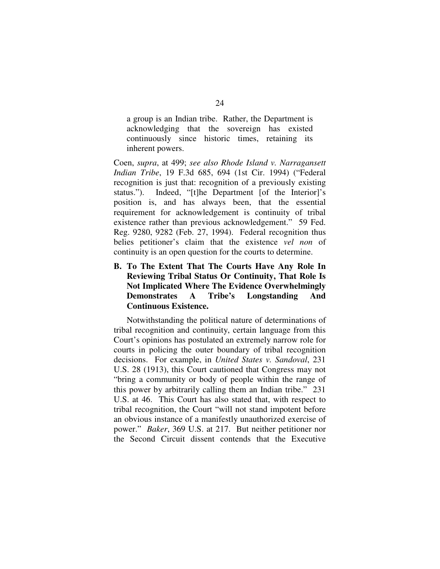a group is an Indian tribe. Rather, the Department is acknowledging that the sovereign has existed continuously since historic times, retaining its inherent powers.

Coen, *supra*, at 499; *see also Rhode Island v. Narragansett Indian Tribe*, 19 F.3d 685, 694 (1st Cir. 1994) ("Federal recognition is just that: recognition of a previously existing status."). Indeed, "[t]he Department [of the Interior]'s position is, and has always been, that the essential requirement for acknowledgement is continuity of tribal existence rather than previous acknowledgement." 59 Fed. Reg. 9280, 9282 (Feb. 27, 1994). Federal recognition thus belies petitioner's claim that the existence *vel non* of continuity is an open question for the courts to determine.

**B. To The Extent That The Courts Have Any Role In Reviewing Tribal Status Or Continuity, That Role Is Not Implicated Where The Evidence Overwhelmingly Demonstrates A Tribe's Longstanding And Continuous Existence.**

Notwithstanding the political nature of determinations of tribal recognition and continuity, certain language from this Court's opinions has postulated an extremely narrow role for courts in policing the outer boundary of tribal recognition decisions. For example, in *United States v. Sandoval*, 231 U.S. 28 (1913), this Court cautioned that Congress may not "bring a community or body of people within the range of this power by arbitrarily calling them an Indian tribe." 231 U.S. at 46. This Court has also stated that, with respect to tribal recognition, the Court "will not stand impotent before an obvious instance of a manifestly unauthorized exercise of power." *Baker*, 369 U.S. at 217. But neither petitioner nor the Second Circuit dissent contends that the Executive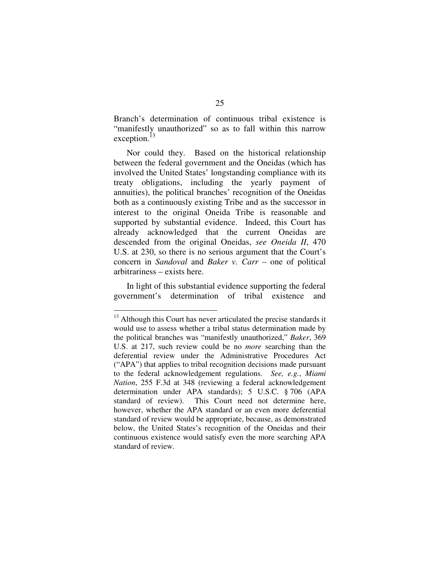Branch's determination of continuous tribal existence is "manifestly unauthorized" so as to fall within this narrow exception.<sup>13</sup>

Nor could they. Based on the historical relationship between the federal government and the Oneidas (which has involved the United States' longstanding compliance with its treaty obligations, including the yearly payment of annuities), the political branches' recognition of the Oneidas both as a continuously existing Tribe and as the successor in interest to the original Oneida Tribe is reasonable and supported by substantial evidence. Indeed, this Court has already acknowledged that the current Oneidas are descended from the original Oneidas, *see Oneida II*, 470 U.S. at 230, so there is no serious argument that the Court's concern in *Sandoval* and *Baker v. Carr* – one of political arbitrariness – exists here.

In light of this substantial evidence supporting the federal government's determination of tribal existence and

<sup>&</sup>lt;sup>13</sup> Although this Court has never articulated the precise standards it would use to assess whether a tribal status determination made by the political branches was "manifestly unauthorized," *Baker*, 369 U.S. at 217, such review could be no *more* searching than the deferential review under the Administrative Procedures Act ("APA") that applies to tribal recognition decisions made pursuant to the federal acknowledgement regulations. *See, e.g.*, *Miami Nation*, 255 F.3d at 348 (reviewing a federal acknowledgement determination under APA standards); 5 U.S.C. § 706 (APA standard of review). This Court need not determine here, however, whether the APA standard or an even more deferential standard of review would be appropriate, because, as demonstrated below, the United States's recognition of the Oneidas and their continuous existence would satisfy even the more searching APA standard of review.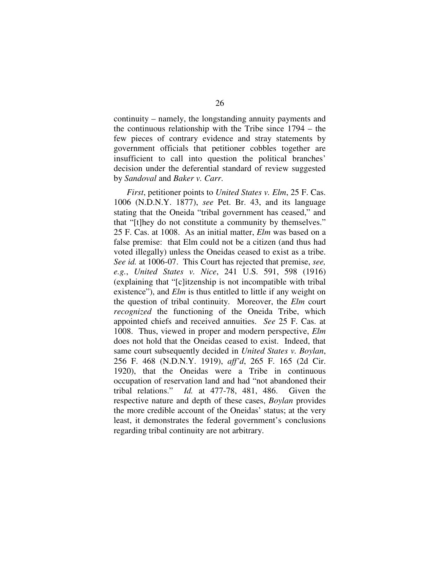continuity – namely, the longstanding annuity payments and the continuous relationship with the Tribe since 1794 – the few pieces of contrary evidence and stray statements by government officials that petitioner cobbles together are insufficient to call into question the political branches' decision under the deferential standard of review suggested by *Sandoval* and *Baker v. Carr*.

*First*, petitioner points to *United States v. Elm*, 25 F. Cas. 1006 (N.D.N.Y. 1877), *see* Pet. Br. 43, and its language stating that the Oneida "tribal government has ceased," and that "[t]hey do not constitute a community by themselves." 25 F. Cas. at 1008. As an initial matter, *Elm* was based on a false premise: that Elm could not be a citizen (and thus had voted illegally) unless the Oneidas ceased to exist as a tribe. *See id.* at 1006-07. This Court has rejected that premise, *see, e.g.*, *United States v. Nice*, 241 U.S. 591, 598 (1916) (explaining that "[c]itzenship is not incompatible with tribal existence"), and *Elm* is thus entitled to little if any weight on the question of tribal continuity. Moreover, the *Elm* court *recognized* the functioning of the Oneida Tribe, which appointed chiefs and received annuities. *See* 25 F. Cas. at 1008. Thus, viewed in proper and modern perspective, *Elm* does not hold that the Oneidas ceased to exist. Indeed, that same court subsequently decided in *United States v. Boylan*, 256 F. 468 (N.D.N.Y. 1919), *aff'd*, 265 F. 165 (2d Cir. 1920), that the Oneidas were a Tribe in continuous occupation of reservation land and had "not abandoned their tribal relations." *Id.* at 477-78, 481, 486. Given the respective nature and depth of these cases, *Boylan* provides the more credible account of the Oneidas' status; at the very least, it demonstrates the federal government's conclusions regarding tribal continuity are not arbitrary.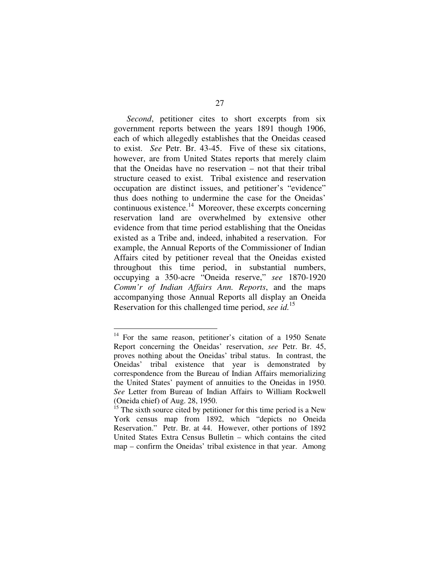*Second*, petitioner cites to short excerpts from six government reports between the years 1891 though 1906, each of which allegedly establishes that the Oneidas ceased to exist. *See* Petr. Br. 43-45. Five of these six citations, however, are from United States reports that merely claim that the Oneidas have no reservation – not that their tribal structure ceased to exist. Tribal existence and reservation occupation are distinct issues, and petitioner's "evidence" thus does nothing to undermine the case for the Oneidas' continuous existence.<sup>14</sup> Moreover, these excerpts concerning reservation land are overwhelmed by extensive other evidence from that time period establishing that the Oneidas existed as a Tribe and, indeed, inhabited a reservation. For example, the Annual Reports of the Commissioner of Indian Affairs cited by petitioner reveal that the Oneidas existed throughout this time period, in substantial numbers, occupying a 350-acre "Oneida reserve," *see* 1870-1920 *Comm'r of Indian Affairs Ann. Reports*, and the maps accompanying those Annual Reports all display an Oneida Reservation for this challenged time period, *see id.* 15

<sup>&</sup>lt;sup>14</sup> For the same reason, petitioner's citation of a 1950 Senate Report concerning the Oneidas' reservation, *see* Petr. Br. 45, proves nothing about the Oneidas' tribal status. In contrast, the Oneidas' tribal existence that year is demonstrated by correspondence from the Bureau of Indian Affairs memorializing the United States' payment of annuities to the Oneidas in 1950. *See* Letter from Bureau of Indian Affairs to William Rockwell (Oneida chief) of Aug. 28, 1950.

 $15$ <sup>15</sup> The sixth source cited by petitioner for this time period is a New York census map from 1892, which "depicts no Oneida Reservation." Petr. Br. at 44. However, other portions of 1892 United States Extra Census Bulletin – which contains the cited map – confirm the Oneidas' tribal existence in that year. Among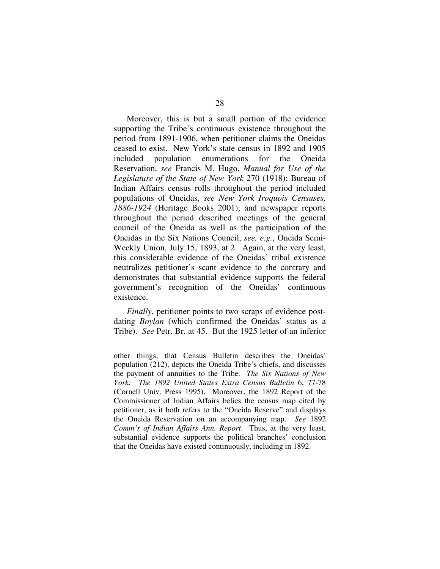Moreover, this is but a small portion of the evidence supporting the Tribe's continuous existence throughout the period from 1891-1906, when petitioner claims the Oneidas ceased to exist. New York's state census in 1892 and 1905 included population enumerations for the Oneida Reservation, *see* Francis M. Hugo, *Manual for Use of the Legislature of the State of New York* 270 (1918); Bureau of Indian Affairs census rolls throughout the period included populations of Oneidas, *see New York Iroquois Censuses, 1886-1924* (Heritage Books 2001); and newspaper reports throughout the period described meetings of the general council of the Oneida as well as the participation of the Oneidas in the Six Nations Council, *see, e.g.*, Oneida Semi-Weekly Union, July 15, 1893, at 2. Again, at the very least, this considerable evidence of the Oneidas' tribal existence neutralizes petitioner's scant evidence to the contrary and demonstrates that substantial evidence supports the federal government's recognition of the Oneidas' continuous existence.

*Finally*, petitioner points to two scraps of evidence postdating *Boylan* (which confirmed the Oneidas' status as a Tribe). *See* Petr. Br. at 45. But the 1925 letter of an inferior

other things, that Census Bulletin describes the Oneidas' population (212), depicts the Oneida Tribe's chiefs, and discusses the payment of annuities to the Tribe. *The Six Nations of New York: The 1892 United States Extra Census Bulletin* 6, 77-78 (Cornell Univ. Press 1995). Moreover, the 1892 Report of the Commissioner of Indian Affairs belies the census map cited by petitioner, as it both refers to the "Oneida Reserve" and displays the Oneida Reservation on an accompanying map. *See* 1892 *Comm'r of Indian Affairs Ann. Report*. Thus, at the very least, substantial evidence supports the political branches' conclusion that the Oneidas have existed continuously, including in 1892.